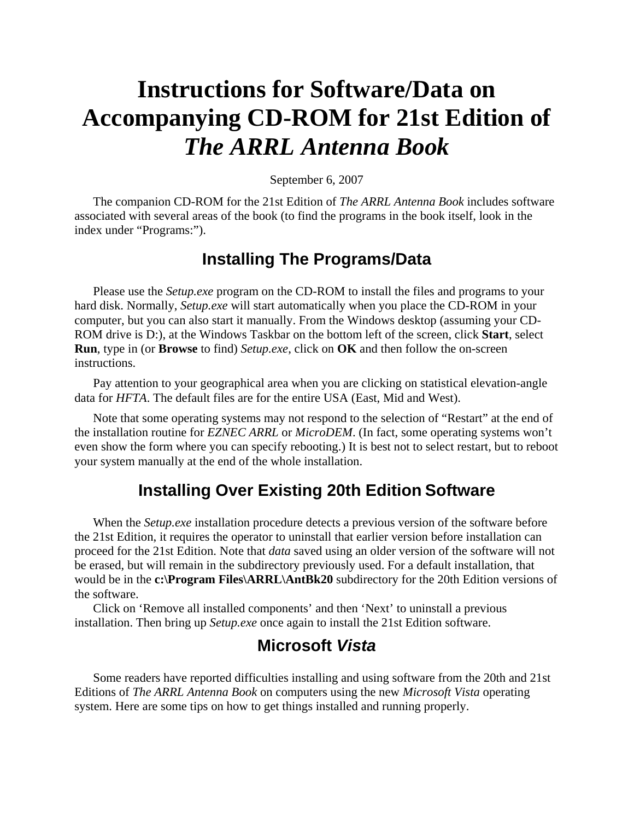# **Instructions for Software/Data on Accompanying CD-ROM for 21st Edition of**  *The ARRL Antenna Book*

September 6, 2007

The companion CD-ROM for the 21st Edition of *The ARRL Antenna Book* includes software associated with several areas of the book (to find the programs in the book itself, look in the index under "Programs:").

# **Installing The Programs/Data**

Please use the *Setup.exe* program on the CD-ROM to install the files and programs to your hard disk. Normally, *Setup.exe* will start automatically when you place the CD-ROM in your computer, but you can also start it manually. From the Windows desktop (assuming your CD-ROM drive is D:), at the Windows Taskbar on the bottom left of the screen, click **Start**, select **Run**, type in (or **Browse** to find) *Setup.exe*, click on **OK** and then follow the on-screen instructions.

Pay attention to your geographical area when you are clicking on statistical elevation-angle data for *HFTA*. The default files are for the entire USA (East, Mid and West).

Note that some operating systems may not respond to the selection of "Restart" at the end of the installation routine for *EZNEC ARRL* or *MicroDEM*. (In fact, some operating systems won't even show the form where you can specify rebooting.) It is best not to select restart, but to reboot your system manually at the end of the whole installation.

# **Installing Over Existing 20th Edition Software**

When the *Setup.exe* installation procedure detects a previous version of the software before the 21st Edition, it requires the operator to uninstall that earlier version before installation can proceed for the 21st Edition. Note that *data* saved using an older version of the software will not be erased, but will remain in the subdirectory previously used. For a default installation, that would be in the **c:\Program Files\ARRL\AntBk20** subdirectory for the 20th Edition versions of the software.

Click on 'Remove all installed components' and then 'Next' to uninstall a previous installation. Then bring up *Setup.exe* once again to install the 21st Edition software.

# **Microsoft** *Vista*

Some readers have reported difficulties installing and using software from the 20th and 21st Editions of *The ARRL Antenna Book* on computers using the new *Microsoft Vista* operating system. Here are some tips on how to get things installed and running properly.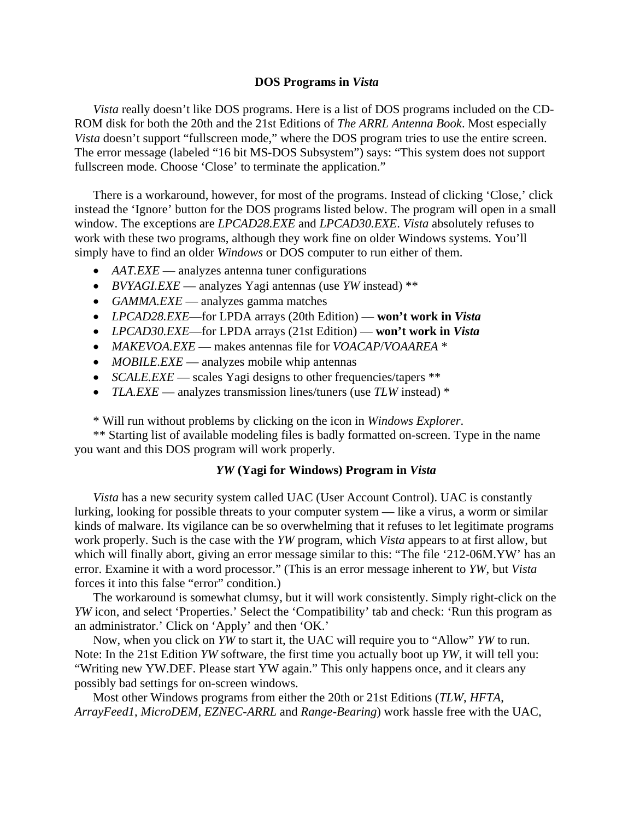#### **DOS Programs in** *Vista*

*Vista* really doesn't like DOS programs. Here is a list of DOS programs included on the CD-ROM disk for both the 20th and the 21st Editions of *The ARRL Antenna Book*. Most especially *Vista* doesn't support "fullscreen mode," where the DOS program tries to use the entire screen. The error message (labeled "16 bit MS-DOS Subsystem") says: "This system does not support fullscreen mode. Choose 'Close' to terminate the application."

There is a workaround, however, for most of the programs. Instead of clicking 'Close,' click instead the 'Ignore' button for the DOS programs listed below. The program will open in a small window. The exceptions are *LPCAD28.EXE* and *LPCAD30.EXE*. *Vista* absolutely refuses to work with these two programs, although they work fine on older Windows systems. You'll simply have to find an older *Windows* or DOS computer to run either of them.

- *AAT.EXE* analyzes antenna tuner configurations
- *BVYAGI.EXE* analyzes Yagi antennas (use *YW* instead) \*\*
- *GAMMA.EXE* analyzes gamma matches
- *LPCAD28.EXE*—for LPDA arrays (20th Edition) **won't work in** *Vista*
- *LPCAD30.EXE*—for LPDA arrays (21st Edition) **won't work in** *Vista*
- *MAKEVOA.EXE*  makes antennas file for *VOACAP*/*VOAAREA* \*
- *MOBILE.EXE* analyzes mobile whip antennas
- *SCALE.EXE* scales Yagi designs to other frequencies/tapers \*\*
- *TLA.EXE* analyzes transmission lines/tuners (use *TLW* instead) \*

\* Will run without problems by clicking on the icon in *Windows Explorer*.

\*\* Starting list of available modeling files is badly formatted on-screen. Type in the name you want and this DOS program will work properly.

#### *YW* **(Yagi for Windows) Program in** *Vista*

*Vista* has a new security system called UAC (User Account Control). UAC is constantly lurking, looking for possible threats to your computer system — like a virus, a worm or similar kinds of malware. Its vigilance can be so overwhelming that it refuses to let legitimate programs work properly. Such is the case with the *YW* program, which *Vista* appears to at first allow, but which will finally abort, giving an error message similar to this: "The file '212-06M.YW' has an error. Examine it with a word processor." (This is an error message inherent to *YW*, but *Vista* forces it into this false "error" condition.)

The workaround is somewhat clumsy, but it will work consistently. Simply right-click on the *YW* icon, and select 'Properties.' Select the 'Compatibility' tab and check: 'Run this program as an administrator.' Click on 'Apply' and then 'OK.'

Now, when you click on *YW* to start it, the UAC will require you to "Allow" *YW* to run. Note: In the 21st Edition *YW* software, the first time you actually boot up *YW*, it will tell you: "Writing new YW.DEF. Please start YW again." This only happens once, and it clears any possibly bad settings for on-screen windows.

Most other Windows programs from either the 20th or 21st Editions (*TLW*, *HFTA*, *ArrayFeed1*, *MicroDEM*, *EZNEC-ARRL* and *Range-Bearing*) work hassle free with the UAC,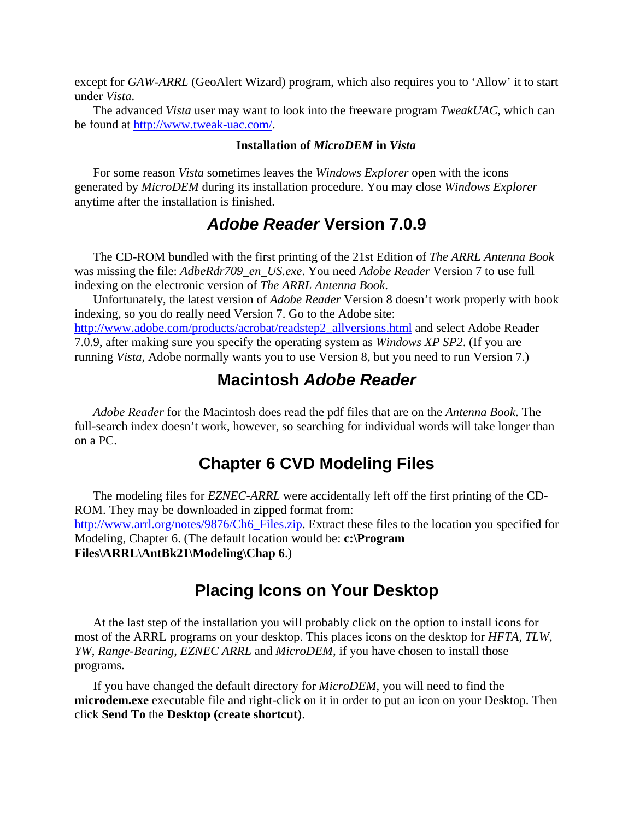except for *GAW-ARRL* (GeoAlert Wizard) program, which also requires you to 'Allow' it to start under *Vista*.

The advanced *Vista* user may want to look into the freeware program *TweakUAC*, which can be found at <http://www.tweak-uac.com/>.

#### **Installation of** *MicroDEM* **in** *Vista*

For some reason *Vista* sometimes leaves the *Windows Explorer* open with the icons generated by *MicroDEM* during its installation procedure. You may close *Windows Explorer* anytime after the installation is finished.

### *Adobe Reader* **Version 7.0.9**

The CD-ROM bundled with the first printing of the 21st Edition of *The ARRL Antenna Book* was missing the file: *AdbeRdr709\_en\_US.exe*. You need *Adobe Reader* Version 7 to use full indexing on the electronic version of *The ARRL Antenna Book*.

Unfortunately, the latest version of *Adobe Reader* Version 8 doesn't work properly with book indexing, so you do really need Version 7. Go to the Adobe site: [http://www.adobe.com/products/acrobat/readstep2\\_allversions.html](http://www.adobe.com/products/acrobat/readstep2_allversions.html) and select Adobe Reader 7.0.9, after making sure you specify the operating system as *Windows XP SP2*. (If you are running *Vista*, Adobe normally wants you to use Version 8, but you need to run Version 7.)

### **Macintosh** *Adobe Reader*

*Adobe Reader* for the Macintosh does read the pdf files that are on the *Antenna Book*. The full-search index doesn't work, however, so searching for individual words will take longer than on a PC.

# **Chapter 6 CVD Modeling Files**

The modeling files for *EZNEC-ARRL* were accidentally left off the first printing of the CD-ROM. They may be downloaded in zipped format from: [http://www.arrl.org/notes/9876/Ch6\\_Files.zip](http://www.arrl.org/notes/9876/Ch6_Files.zip). Extract these files to the location you specified for Modeling, Chapter 6. (The default location would be: **c:\Program Files\ARRL\AntBk21\Modeling\Chap 6**.)

# **Placing Icons on Your Desktop**

At the last step of the installation you will probably click on the option to install icons for most of the ARRL programs on your desktop. This places icons on the desktop for *HFTA*, *TLW*, *YW*, *Range-Bearing*, *EZNEC ARRL* and *MicroDEM*, if you have chosen to install those programs.

If you have changed the default directory for *MicroDEM*, you will need to find the **microdem.exe** executable file and right-click on it in order to put an icon on your Desktop. Then click **Send To** the **Desktop (create shortcut)**.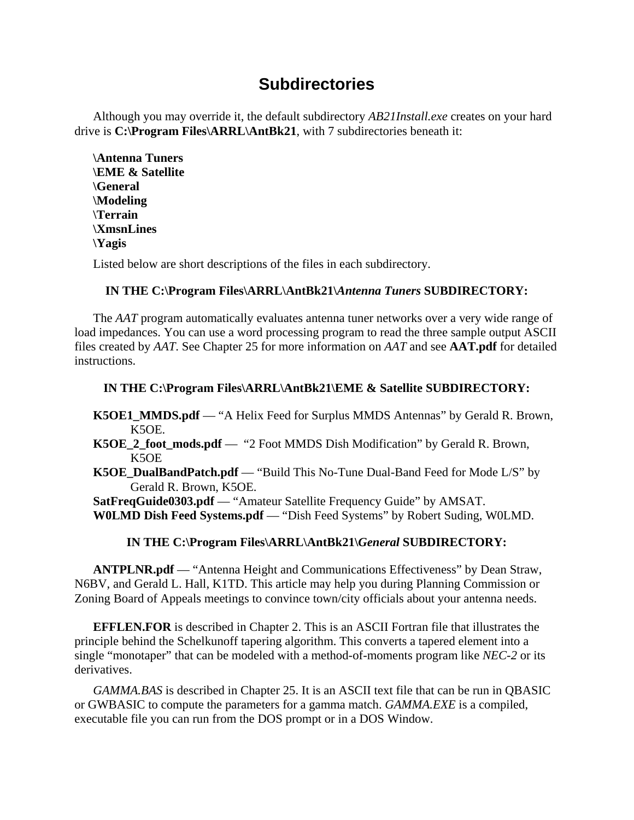# **Subdirectories**

Although you may override it, the default subdirectory *AB21Install.exe* creates on your hard drive is **C:\Program Files\ARRL\AntBk21**, with 7 subdirectories beneath it:

**\Antenna Tuners \EME & Satellite \General \Modeling \Terrain \XmsnLines \Yagis** 

Listed below are short descriptions of the files in each subdirectory.

### **IN THE C:\Program Files\ARRL\AntBk21\***Antenna Tuners* **SUBDIRECTORY:**

The *AAT* program automatically evaluates antenna tuner networks over a very wide range of load impedances. You can use a word processing program to read the three sample output ASCII files created by *AAT*. See Chapter 25 for more information on *AAT* and see **AAT.pdf** for detailed instructions.

### **IN THE C:\Program Files\ARRL\AntBk21\EME & Satellite SUBDIRECTORY:**

**K5OE1\_MMDS.pdf** — "A Helix Feed for Surplus MMDS Antennas" by Gerald R. Brown, K5OE.

- **K5OE\_2\_foot\_mods.pdf** "2 Foot MMDS Dish Modification" by Gerald R. Brown, K5OE
- **K5OE\_DualBandPatch.pdf** "Build This No-Tune Dual-Band Feed for Mode L/S" by Gerald R. Brown, K5OE.

**SatFreqGuide0303.pdf** — "Amateur Satellite Frequency Guide" by AMSAT.

**W0LMD Dish Feed Systems.pdf** — "Dish Feed Systems" by Robert Suding, W0LMD.

### **IN THE C:\Program Files\ARRL\AntBk21\***General* **SUBDIRECTORY:**

**ANTPLNR.pdf** — "Antenna Height and Communications Effectiveness" by Dean Straw, N6BV, and Gerald L. Hall, K1TD. This article may help you during Planning Commission or Zoning Board of Appeals meetings to convince town/city officials about your antenna needs.

**EFFLEN.FOR** is described in Chapter 2. This is an ASCII Fortran file that illustrates the principle behind the Schelkunoff tapering algorithm. This converts a tapered element into a single "monotaper" that can be modeled with a method-of-moments program like *NEC-2* or its derivatives.

*GAMMA.BAS* is described in Chapter 25. It is an ASCII text file that can be run in QBASIC or GWBASIC to compute the parameters for a gamma match. *GAMMA.EXE* is a compiled, executable file you can run from the DOS prompt or in a DOS Window.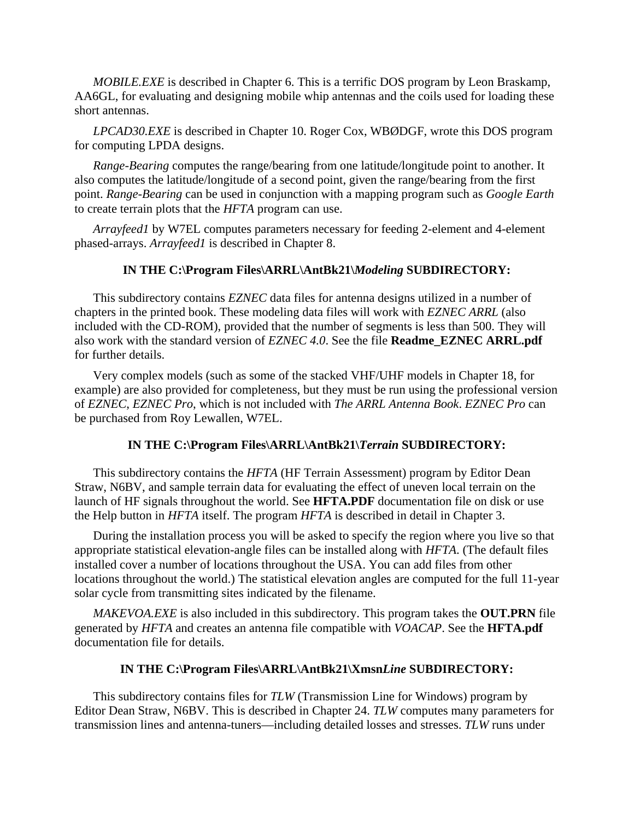*MOBILE.EXE* is described in Chapter 6. This is a terrific DOS program by Leon Braskamp, AA6GL, for evaluating and designing mobile whip antennas and the coils used for loading these short antennas.

*LPCAD30.EXE* is described in Chapter 10. Roger Cox, WBØDGF, wrote this DOS program for computing LPDA designs.

*Range-Bearing* computes the range/bearing from one latitude/longitude point to another. It also computes the latitude/longitude of a second point, given the range/bearing from the first point. *Range-Bearing* can be used in conjunction with a mapping program such as *Google Earth* to create terrain plots that the *HFTA* program can use.

*Arrayfeed1* by W7EL computes parameters necessary for feeding 2-element and 4-element phased-arrays. *Arrayfeed1* is described in Chapter 8.

#### **IN THE C:\Program Files\ARRL\AntBk21\***Modeling* **SUBDIRECTORY:**

This subdirectory contains *EZNEC* data files for antenna designs utilized in a number of chapters in the printed book. These modeling data files will work with *EZNEC ARRL* (also included with the CD-ROM), provided that the number of segments is less than 500. They will also work with the standard version of *EZNEC 4.0*. See the file **Readme\_EZNEC ARRL.pdf** for further details.

Very complex models (such as some of the stacked VHF/UHF models in Chapter 18, for example) are also provided for completeness, but they must be run using the professional version of *EZNEC*, *EZNEC Pro*, which is not included with *The ARRL Antenna Book*. *EZNEC Pro* can be purchased from Roy Lewallen, W7EL.

### **IN THE C:\Program Files\ARRL\AntBk21\***Terrain* **SUBDIRECTORY:**

This subdirectory contains the *HFTA* (HF Terrain Assessment) program by Editor Dean Straw, N6BV, and sample terrain data for evaluating the effect of uneven local terrain on the launch of HF signals throughout the world. See **HFTA.PDF** documentation file on disk or use the Help button in *HFTA* itself. The program *HFTA* is described in detail in Chapter 3.

During the installation process you will be asked to specify the region where you live so that appropriate statistical elevation-angle files can be installed along with *HFTA*. (The default files installed cover a number of locations throughout the USA. You can add files from other locations throughout the world.) The statistical elevation angles are computed for the full 11-year solar cycle from transmitting sites indicated by the filename.

*MAKEVOA.EXE* is also included in this subdirectory. This program takes the **OUT.PRN** file generated by *HFTA* and creates an antenna file compatible with *VOACAP*. See the **HFTA.pdf** documentation file for details.

#### **IN THE C:\Program Files\ARRL\AntBk21\Xmsn***Line* **SUBDIRECTORY:**

This subdirectory contains files for *TLW* (Transmission Line for Windows) program by Editor Dean Straw, N6BV. This is described in Chapter 24. *TLW* computes many parameters for transmission lines and antenna-tuners—including detailed losses and stresses. *TLW* runs under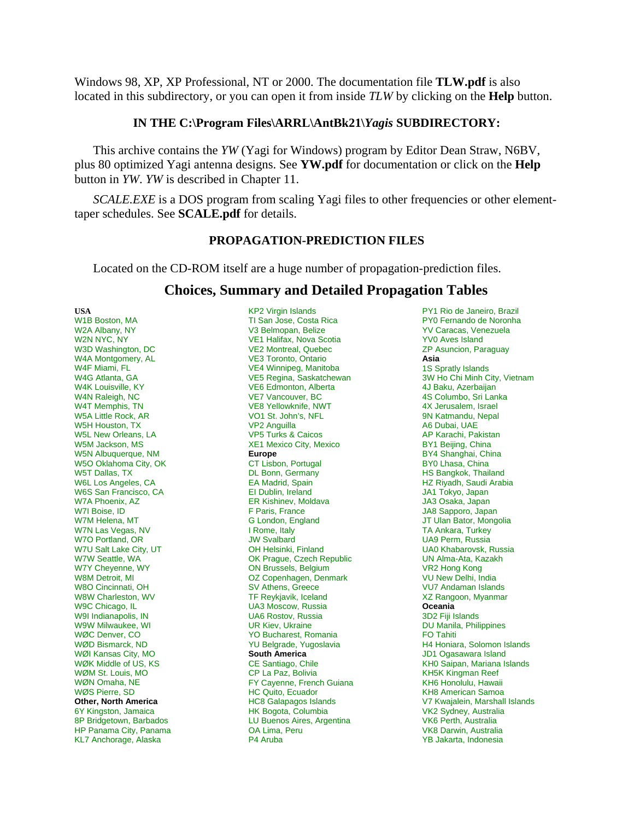Windows 98, XP, XP Professional, NT or 2000. The documentation file **TLW.pdf** is also located in this subdirectory, or you can open it from inside *TLW* by clicking on the **Help** button.

#### **IN THE C:\Program Files\ARRL\AntBk21\***Yagis* **SUBDIRECTORY:**

This archive contains the *YW* (Yagi for Windows) program by Editor Dean Straw, N6BV, plus 80 optimized Yagi antenna designs. See **YW.pdf** for documentation or click on the **Help** button in *YW*. *YW* is described in Chapter 11.

*SCALE.EXE* is a DOS program from scaling Yagi files to other frequencies or other elementtaper schedules. See **SCALE.pdf** for details.

### **PROPAGATION-PREDICTION FILES**

Located on the CD-ROM itself are a huge number of propagation-prediction files.

### **Choices, Summary and Detailed Propagation Tables**

**USA**  W1B Boston, MA W2A Albany, NY W2N NYC, NY W3D Washington, DC W4A Montgomery, AL W4F Miami, FL W4G Atlanta, GA W4K Louisville, KY W4N Raleigh, NC W4T Memphis, TN W5A Little Rock, AR W5H Houston, TX W5L New Orleans, LA W5M Jackson, MS W5N Albuquerque, NM W5O Oklahoma City, OK W5T Dallas, TX W6L Los Angeles, CA W6S San Francisco, CA W7A Phoenix, AZ W7I Boise, ID W7M Helena, MT W7N Las Vegas, NV W7O Portland, OR W7U Salt Lake City, UT W7W Seattle, WA W7Y Cheyenne, WY W8M Detroit, MI W8O Cincinnati, OH W8W Charleston, WV W9C Chicago, IL W9I Indianapolis, IN W9W Milwaukee, WI WØC Denver, CO WØD Bismarck, ND WØI Kansas City, MO WØK Middle of US, KS WØM St. Louis, MO WØN Omaha, NE WØS Pierre, SD **Other, North America**  6Y Kingston, Jamaica 8P Bridgetown, Barbados HP Panama City, Panama KL7 Anchorage, Alaska

KP2 Virgin Islands TI San Jose, Costa Rica V3 Belmopan, Belize VE1 Halifax, Nova Scotia VE2 Montreal, Quebec VE3 Toronto, Ontario VE4 Winnipeg, Manitoba VE5 Regina, Saskatchewan VE6 Edmonton, Alberta VE7 Vancouver, BC VE8 Yellowknife, NWT VO1 St. John's, NFL VP2 Anguilla VP5 Turks & Caicos XE1 Mexico City, Mexico **Europe**  CT Lisbon, Portugal DL Bonn, Germany EA Madrid, Spain EI Dublin, Ireland ER Kishinev, Moldava F Paris, France G London, England I Rome, Italy JW Svalbard OH Helsinki, Finland OK Prague, Czech Republic ON Brussels, Belgium OZ Copenhagen, Denmark SV Athens, Greece TF Reykjavik, Iceland UA3 Moscow, Russia UA6 Rostov, Russia UR Kiev, Ukraine YO Bucharest, Romania YU Belgrade, Yugoslavia **South America**  CE Santiago, Chile CP La Paz, Bolivia FY Cayenne, French Guiana HC Quito, Ecuador HC8 Galapagos Islands HK Bogota, Columbia LU Buenos Aires, Argentina OA Lima, Peru P4 Aruba

PY1 Rio de Janeiro, Brazil PY0 Fernando de Noronha YV Caracas, Venezuela YV0 Aves Island ZP Asuncion, Paraguay **Asia**  1S Spratly Islands 3W Ho Chi Minh City, Vietnam 4J Baku, Azerbaijan 4S Columbo, Sri Lanka 4X Jerusalem, Israel 9N Katmandu, Nepal A6 Dubai, UAE AP Karachi, Pakistan BY1 Beijing, China BY4 Shanghai, China BY0 Lhasa, China HS Bangkok, Thailand HZ Riyadh, Saudi Arabia JA1 Tokyo, Japan JA3 Osaka, Japan JA8 Sapporo, Japan JT Ulan Bator, Mongolia TA Ankara, Turkey UA9 Perm, Russia UA0 Khabarovsk, Russia UN Alma-Ata, Kazakh VR2 Hong Kong VU New Delhi, India VU7 Andaman Islands XZ Rangoon, Myanmar **Oceania**  3D2 Fiji Islands DU Manila, Philippines FO Tahiti H4 Honiara, Solomon Islands JD1 Ogasawara Island KH0 Saipan, Mariana Islands KH5K Kingman Reef KH6 Honolulu, Hawaii KH8 American Samoa V7 Kwajalein, Marshall Islands VK2 Sydney, Australia VK6 Perth, Australia VK8 Darwin, Australia YB Jakarta, Indonesia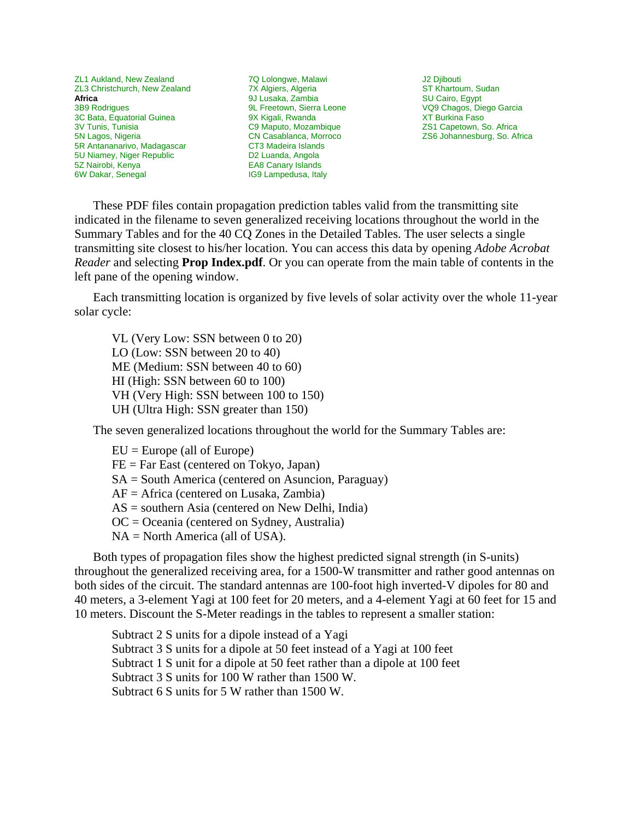ZL1 Aukland, New Zealand ZL3 Christchurch, New Zealand **Africa**  3B9 Rodrigues 3C Bata, Equatorial Guinea 3V Tunis, Tunisia 5N Lagos, Nigeria 5R Antananarivo, Madagascar 5U Niamey, Niger Republic 5Z Nairobi, Kenya 6W Dakar, Senegal

7Q Lolongwe, Malawi 7X Algiers, Algeria 9J Lusaka, Zambia 9L Freetown, Sierra Leone 9X Kigali, Rwanda C9 Maputo, Mozambique CN Casablanca, Morroco CT3 Madeira Islands D2 Luanda, Angola EA8 Canary Islands IG9 Lampedusa, Italy

J2 Djibouti ST Khartoum, Sudan SU Cairo, Egypt VQ9 Chagos, Diego Garcia XT Burkina Faso ZS1 Capetown, So. Africa ZS6 Johannesburg, So. Africa

These PDF files contain propagation prediction tables valid from the transmitting site indicated in the filename to seven generalized receiving locations throughout the world in the Summary Tables and for the 40 CQ Zones in the Detailed Tables. The user selects a single transmitting site closest to his/her location. You can access this data by opening *Adobe Acrobat Reader* and selecting **Prop Index.pdf**. Or you can operate from the main table of contents in the left pane of the opening window.

Each transmitting location is organized by five levels of solar activity over the whole 11-year solar cycle:

VL (Very Low: SSN between 0 to 20) LO (Low: SSN between 20 to 40) ME (Medium: SSN between 40 to 60) HI (High: SSN between 60 to 100) VH (Very High: SSN between 100 to 150) UH (Ultra High: SSN greater than 150)

The seven generalized locations throughout the world for the Summary Tables are:

 $EU = Europe$  (all of Europe) FE = Far East (centered on Tokyo, Japan) SA = South America (centered on Asuncion, Paraguay) AF = Africa (centered on Lusaka, Zambia) AS = southern Asia (centered on New Delhi, India) OC = Oceania (centered on Sydney, Australia) NA = North America (all of USA).

Both types of propagation files show the highest predicted signal strength (in S-units) throughout the generalized receiving area, for a 1500-W transmitter and rather good antennas on both sides of the circuit. The standard antennas are 100-foot high inverted-V dipoles for 80 and 40 meters, a 3-element Yagi at 100 feet for 20 meters, and a 4-element Yagi at 60 feet for 15 and 10 meters. Discount the S-Meter readings in the tables to represent a smaller station:

Subtract 2 S units for a dipole instead of a Yagi Subtract 3 S units for a dipole at 50 feet instead of a Yagi at 100 feet Subtract 1 S unit for a dipole at 50 feet rather than a dipole at 100 feet Subtract 3 S units for 100 W rather than 1500 W. Subtract 6 S units for 5 W rather than 1500 W.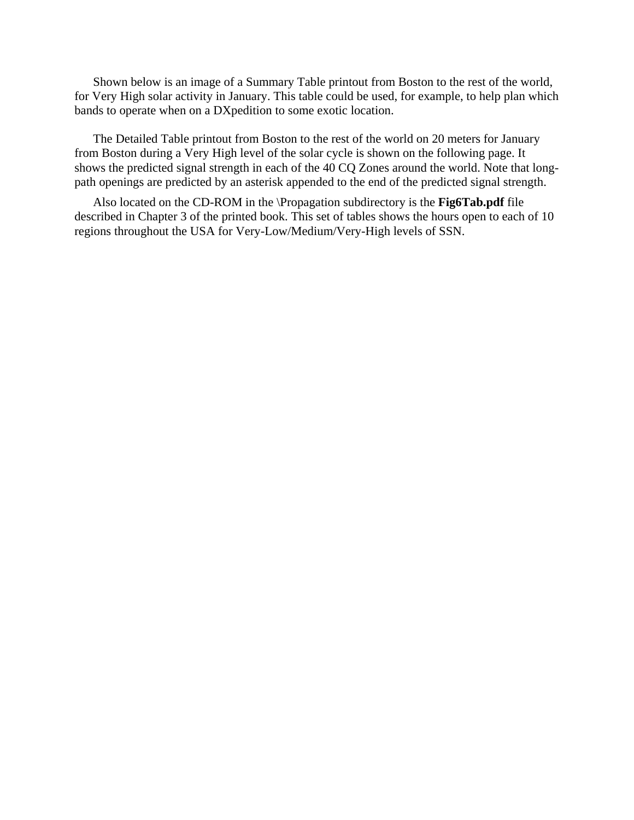Shown below is an image of a Summary Table printout from Boston to the rest of the world, for Very High solar activity in January. This table could be used, for example, to help plan which bands to operate when on a DXpedition to some exotic location.

The Detailed Table printout from Boston to the rest of the world on 20 meters for January from Boston during a Very High level of the solar cycle is shown on the following page. It shows the predicted signal strength in each of the 40 CQ Zones around the world. Note that longpath openings are predicted by an asterisk appended to the end of the predicted signal strength.

Also located on the CD-ROM in the \Propagation subdirectory is the **Fig6Tab.pdf** file described in Chapter 3 of the printed book. This set of tables shows the hours open to each of 10 regions throughout the USA for Very-Low/Medium/Very-High levels of SSN.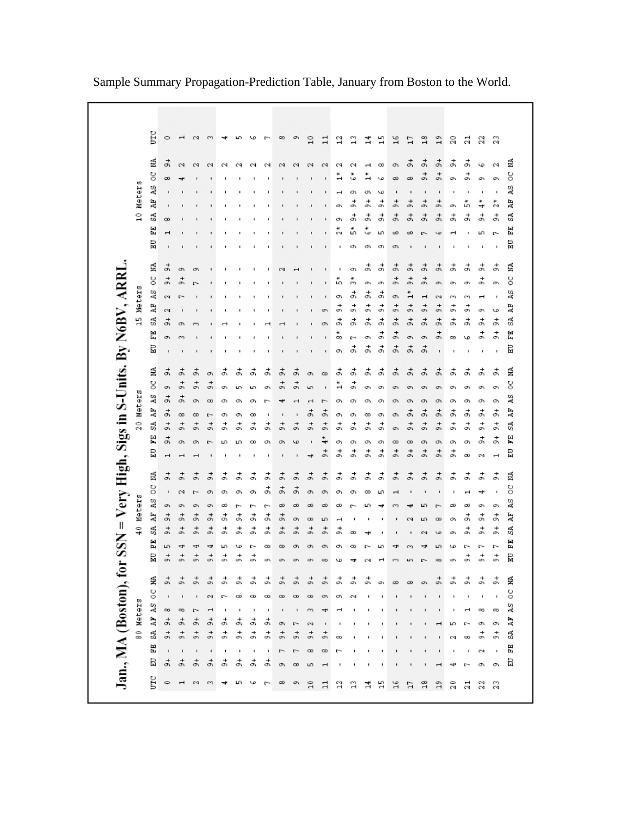|               | Ĕ       | $\circ$                     | ᆏ                              | $\sim$                         | S                   |                | ما      |           | ۴        | $\infty$           | c                     | $\overline{10}$                    | $\mathbf{1}$        | 2                     | ្ន                  | $\frac{4}{1}$         | 쁰              | $^{16}$                | L1              | $^{18}$                 | 19                              | 20                             | 21        | 22        | 23                                                                |
|---------------|---------|-----------------------------|--------------------------------|--------------------------------|---------------------|----------------|---------|-----------|----------|--------------------|-----------------------|------------------------------------|---------------------|-----------------------|---------------------|-----------------------|----------------|------------------------|-----------------|-------------------------|---------------------------------|--------------------------------|-----------|-----------|-------------------------------------------------------------------|
|               |         |                             |                                |                                |                     |                |         |           |          |                    |                       |                                    |                     |                       |                     |                       |                |                        |                 |                         |                                 |                                |           |           |                                                                   |
|               | É<br>8  | $\vec{r}$                   | $\sim$                         | $\sim$                         | $\sim$              | $\sim$         | $\sim$  | N         | $\sim$   | $\sim$             | $\sim$                | $\sim$                             | 2                   | Ω                     | Ω                   | $\mathbf{\mathbf{H}}$ | $\infty$       | c                      | ょ               | ょ<br>$\frac{1}{\sigma}$ | $\frac{1}{\sigma}$              | ま                              | ょ         | w         | N                                                                 |
|               | 2S      | $\infty$                    | ᆉ                              |                                |                     |                |         |           |          |                    |                       |                                    |                     | H                     | w<br>o١             | o١                    | Lo<br>w        | $\infty$               | $\infty$        |                         | o.<br>$\blacksquare$            | o.<br>٠                        | c         | o         | O)<br>٠                                                           |
| Meters        | Ĕ       |                             |                                |                                |                     |                |         |           |          |                    |                       |                                    |                     | œ.                    | +<br>O)             | ょ                     | $\vec{r}$      | $\frac{1}{\sigma}$     | $\frac{1}{6}$   | +<br>o.                 | +<br>o.                         | O)                             | ň         | 4         | $\tilde{z}$                                                       |
| $\frac{0}{1}$ | SÃ      | $\infty$                    |                                |                                |                     |                |         |           |          |                    |                       |                                    | ï                   | c                     | ょ                   | ま                     | đ,             | ょ                      | $\frac{1}{6}$   | $\vec{c}$               | $\frac{1}{6}$                   | ま                              | ょ         | ょ         | ま                                                                 |
|               | EE      | $\mathbf{r}$                |                                |                                |                     |                |         |           |          |                    |                       |                                    |                     | ø                     | ň                   | w                     | 5              | $\infty$               | $\infty$        | r                       | ۱o                              | $\mathbf{\mathbf{\mathbf{H}}}$ |           | 5         | $\sim$                                                            |
|               | 品       |                             |                                |                                |                     |                |         |           |          |                    |                       |                                    |                     |                       | c                   | c                     | c              | c                      |                 |                         |                                 |                                |           |           |                                                                   |
|               | É       | $\vec{a}$                   | Ō.                             | Œ.                             |                     |                |         |           |          | $\sim$             |                       |                                    | ٠                   |                       | o١                  | ま                     | ま              | $\vec{a}$              | $\vec{a}$       | ょ                       | ㅎ                               | ま                              | ま         | ಕ         | ま                                                                 |
|               | g       | $\frac{1}{\sigma}$          | ö                              | r-                             |                     |                |         |           |          |                    |                       |                                    |                     | ю                     | m                   | o.                    | o.             | $\vec{5}$              | $\vec{r}$       | $\vec{r}$               | o.                              | O.                             | o.        | ょ         | O.                                                                |
| Meters        | ÃS      | $\sim$                      | r                              |                                |                     |                |         |           |          |                    |                       |                                    |                     | c                     | ई                   | ょ                     | ಕ              | o                      | $\ddot{ }$      | $\mathbf{r}$            | $\sim$                          | S                              | m         | ᆏ         | ٠                                                                 |
|               | ÅP      | 2                           |                                |                                |                     |                |         |           |          |                    |                       |                                    | o,                  | ま                     | ま                   | ょ                     | $\vec{r}$      | $\frac{1}{\sigma}$     | $\frac{1}{9}$   | $\frac{1}{\sigma}$      | $\frac{1}{\sigma}$              | $\vec{r}$                      | t,        | O.        | ιο                                                                |
| 딲             | SÃ<br>됍 | $\vec{a}$                   | Ō,                             | m                              |                     |                |         |           |          |                    |                       |                                    | ō                   | ま<br>۰                | ま                   | ま                     | ಕ<br>$\vec{r}$ | $\vec{r}$<br>$\vec{r}$ | $\vec{r}$       | $\vec{r}$               | $\vec{r}$<br>$\frac{1}{\sigma}$ | ま                              | ま         | ょ<br>ょ    | ま<br>$\vec{r}$                                                    |
|               | 旵       | o.                          | m                              |                                |                     |                |         |           |          |                    |                       |                                    | $\blacksquare$      | 8                     | $\overline{ }$<br>ま | O.<br>ま               | ಕ              | $\vec{r}$              | o,<br>$\vec{r}$ | o,<br>$\vec{r}$         |                                 | $\infty$                       | w         |           |                                                                   |
|               |         |                             |                                |                                |                     |                |         |           |          |                    |                       |                                    |                     | c                     |                     |                       |                |                        |                 |                         |                                 |                                |           |           | ı                                                                 |
|               | É       | 흙                           | 흙                              | ょ                              | O)                  | ょ              | ㅎ       | ಕ         | ょ        | d,                 | $\frac{4}{5}$<br>+    | o,                                 | $\infty$            | ょ                     | ಕ<br>+              | ょ                     | ま              | $\frac{1}{\sigma}$     | 흙               | ㅎ                       | ㅎ                               | ま                              | o١        | ょ         | ょ                                                                 |
|               | g       | c                           | $\frac{1}{\sigma}$             | $\frac{1}{\sigma}$             | ö                   | O)             | m       | ω٦        | σ١       | $\frac{1}{6}$      | ö                     | LO <sub>1</sub>                    | ٠                   | н                     | c                   | O)                    | O)             | O)                     | O١              | O١                      | $\sigma$                        | O١                             | σ١        | σ١        | O)                                                                |
|               | ÃS<br>Ę | $\vec{a}$<br>$\frac{1}{61}$ | $\vec{r}$                      | c                              | $\infty$            | c              | c       | c         |          | 4                  | $\mathbf{\mathbf{f}}$ | $\mathbf{\mathbf{H}}$<br>$\vec{r}$ | $\overline{ }$<br>ょ | Ō                     | o١                  | c                     | c              | c                      | c<br>ょ          | c<br>$\vec{r}$          | Ō,<br>$\frac{1}{2}$             | c<br>ま                         | c<br>ょ    | c<br>ょ    | c<br>ま                                                            |
| 20 Meters     | SÃ      | $\frac{1}{6}$               | $\infty$<br>$\frac{1}{\sigma}$ | $\infty$<br>$\frac{1}{\sigma}$ | $\sim$<br>$\vec{r}$ | c<br>ま         | O١<br>눍 | œ<br>+    | +        | ı<br>$\frac{1}{6}$ | $\frac{1}{2}$         | $\frac{1}{\sigma}$                 | $\frac{4}{5}$       | c<br>ょ                | c<br>$\vec{r}$      | $\infty$<br>ま         | c<br>ま         | c                      | $\frac{1}{6}$   | $\vec{r}$               | $\frac{1}{\sigma}$              | $\vec{r}$                      | $\vec{r}$ | $\vec{r}$ | $\vec{r}$                                                         |
|               | 띥       | $\vec{r}$                   | c                              | O١                             |                     | ω              | ω       | O.<br>œ   | o٧<br>O١ | O)                 | w                     | ٠                                  | $\ddot{\bf{4}}$     | c                     | c                   | c                     | c              | o.<br>$^{\circ}$       | $\infty$        | c                       | O.                              | O)                             | o١        | ょ         | ま                                                                 |
|               | 吕       | $\mathbf{\mathbf{r}}$       | ᆏ                              | ᆏ                              |                     |                |         |           | ٠        | $\blacksquare$     | $\blacksquare$        | 4                                  | $\frac{1}{\sigma}$  | ょ                     | ょ                   | $\vec{r}$             | $\vec{r}$      | $\frac{1}{\sigma}$     | $\vec{r}$       | $\overline{5}$          | $\frac{1}{\sigma}$              | $\vec{r}$                      | ∞         | CN.       | $\mathbf{\mathbf{\mathbf{\mathbf{\mathbf{\mathbf{\mathbf{-}}}}}}$ |
|               | É       | $\frac{1}{\sigma}$          | $\vec{r}$                      | ö                              | $\frac{1}{62}$      | ま              | ま       | ょ         | ま        | $\vec{r}$          | $\overline{5}$        | $\overline{5}$                     | $\frac{1}{2}$       | ょ                     | ま                   | ま                     | $\vec{r}$      | $\frac{1}{\sigma}$     | $\vec{r}$       | $\vec{r}$               | $\frac{1}{6}$                   | $\vec{r}$                      | +<br>o.   | ま         | ま                                                                 |
|               | g       | $\blacksquare$              | $\mathbf{z}$                   | $\Gamma$                       | O١                  | O١             | O)      | o۱        | o۱       | Ō,                 | O)                    | O.                                 | o١                  | O١                    | Œ١                  | $^\infty$             | Ю              |                        |                 |                         |                                 |                                |           | 4         | ٠                                                                 |
| 40 Meters     | ÃS      | o.                          | c                              | $\sigma$                       | OY.                 | œ              | $\sim$  | r.        | ٣        | $\infty$           | $\infty$              | $\infty$                           | $\infty$            | ೲ                     | r                   | Ю                     | 4              | m                      | ÷               | ю                       | r-                              | $\infty$                       | ಹ         | σ١        | O)                                                                |
|               | ĀF      | $\vec{r}$                   | ょ                              | $\vec{r}$                      | $\frac{1}{6}$       | ま              | ま       | ま         | ₹        | ょ                  | o,                    | $\infty$                           | Б                   | $\mathbf{\mathbf{r}}$ |                     |                       |                |                        | $\sim$          | ю                       | $\infty$                        | O)                             | ょ         | ょ         | ಕ                                                                 |
|               | S       | $\frac{1}{6}$               | $\vec{r}$                      | +<br>o,                        | +<br>o,             | +<br>o,        | +<br>o. | ょ         | +<br>o   | $\frac{1}{2}$      | $\frac{1}{2}$         | $\frac{1}{2}$                      | $\frac{1}{6}$       | o.                    | $\infty$            | 4                     |                |                        |                 | $\sim$                  | LD                              | o,                             | +<br>c    | ょ         | $\vec{r}$                                                         |
|               | 면된<br>旵 | Б<br>$\frac{1}{2}$          | 4<br>$\frac{1}{2}$             | 4<br>$\frac{1}{2}$             | 4<br>$\frac{1}{2}$  | ю<br>$\vec{r}$ | w<br>ま  | $\vec{r}$ | ∞        | $\infty$           | O)                    | $\sigma$                           | c                   | O١                    | $^{\circ}$          |                       | ω              | ᆉ                      |                 |                         | ю                               | w                              | ►<br>ま    | $\vec{r}$ | ٣<br>$\vec{r}$                                                    |
|               |         |                             |                                |                                |                     |                |         |           | O)       | O)                 | $\sigma$              | OY.                                | $\infty$            | LΟ                    | ᆎ                   | $\sim$                |                | m                      | LO <sub>1</sub> | r-                      | $\infty$                        | o.                             |           |           |                                                                   |
|               | 탈<br>š  | $\frac{1}{\sigma}$          | 늙                              | $\vec{r}$                      |                     | ま              | ま       | 긁         | ま        | $\vec{r}$          | $\vec{r}$             | $\vec{r}$                          | $\frac{1}{\sigma}$  | ま                     | ā                   | ま                     | O)             | $\infty$               | $\infty$        |                         | 긁                               | ま                              |           |           | ま                                                                 |
|               | ÃS      |                             |                                |                                |                     |                | œ       | œ         | œ        | $\infty$           | $\infty$              | $\infty$                           | c                   | σ                     |                     |                       |                |                        |                 |                         |                                 |                                |           |           |                                                                   |
| Meters        | ĄF      | $\infty$<br>$\frac{4}{5}$   | $\infty$<br>$\vec{r}$          | r.<br>$\frac{1}{6}$            | $\frac{1}{6}$       | ま              | ま       | ょ         | ょ        | c                  | $\sim$                | $^{m}$<br>$\sim$                   |                     |                       |                     |                       |                |                        |                 |                         |                                 | Ю                              | ►         | œ<br>o١   | $\infty$<br>o,                                                    |
| 8             | S       | $\frac{1}{\sigma}$          | $\frac{1}{\sigma}$             | $\frac{1}{\sigma}$             | $\frac{1}{6}$       | $\vec{r}$      | ま       | ょ         | さ        | $\vec{r}$          | $\frac{1}{6}$         | $\frac{1}{6}$                      | c                   | 9                     |                     |                       |                |                        |                 |                         |                                 | $\sim$                         | $\infty$  | ょ         | +<br>ö                                                            |
|               | ЕE      | $\blacksquare$              | $\blacksquare$                 | $\blacksquare$                 | $\blacksquare$      | ı              |         |           |          | r,                 | $\sim$                | $\infty$                           | $\infty$            |                       |                     |                       |                |                        |                 |                         |                                 |                                |           | CN.       | ٠                                                                 |
|               | 冒       | $\vec{r}$                   | よ                              | よ                              | $\vec{r}$           | ま              | ま       | ょ         | ま        | O)                 | $\infty$              | Б                                  |                     |                       |                     |                       |                |                        |                 |                         |                                 | ᆉ                              |           | o١        | O)                                                                |
|               | Ë       | $\circ$                     | $\mathbf{\mathbf{r}}$          | $^{c4}$                        | $^{m}$              | ᆊ              | Ю       | ١o        | r»       | $\infty$           | O)                    | $\Xi$                              | $\Xi$               | ្ន                    | ្អ                  | 겈                     | 맠              | $^{16}$                | Η               | $^{26}$                 | $^{2}$                          | 20                             | 21        | 22        | 23                                                                |

Sample Summary Propagation-Prediction Table, January from Boston to the World.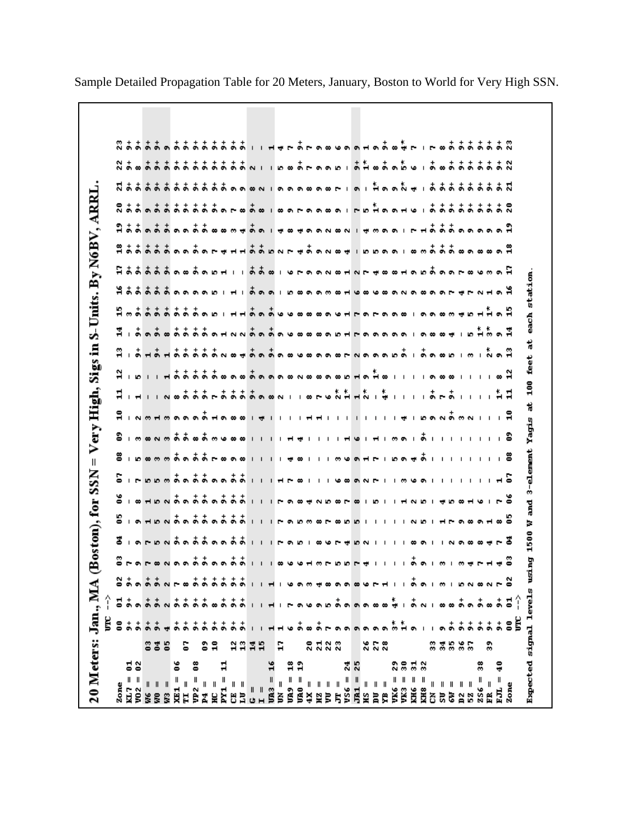| 20 Meters: Jan., MA                        |                |                   |                                       | ◡ |   | Bostom), for                                               |               |                                                             | $\ensuremath{\mathsf{II}}$<br><b>SSN</b> | Very.                                                                                                                                                                                                                                                                                                                                               |       | High, | Sigs                                                                                                                                                                                                                                                                                                                                                                                                                                                                             | Ē.        |  |               |  | S-Units. By N6BV, ARRL      |                             |  |
|--------------------------------------------|----------------|-------------------|---------------------------------------|---|---|------------------------------------------------------------|---------------|-------------------------------------------------------------|------------------------------------------|-----------------------------------------------------------------------------------------------------------------------------------------------------------------------------------------------------------------------------------------------------------------------------------------------------------------------------------------------------|-------|-------|----------------------------------------------------------------------------------------------------------------------------------------------------------------------------------------------------------------------------------------------------------------------------------------------------------------------------------------------------------------------------------------------------------------------------------------------------------------------------------|-----------|--|---------------|--|-----------------------------|-----------------------------|--|
|                                            |                | ğ                 |                                       |   |   |                                                            |               |                                                             |                                          |                                                                                                                                                                                                                                                                                                                                                     |       |       |                                                                                                                                                                                                                                                                                                                                                                                                                                                                                  |           |  |               |  |                             |                             |  |
| Zone                                       |                | និដ               |                                       |   |   |                                                            |               | $S_1$ $S_2$ $H_2$ $S_3$ $S_4$ $S_5$ $S_6$ $S_5$ $S_6$ $I_1$ |                                          | $\overline{3}$ , $\overline{5}$ , $\overline{6}$ , $\overline{7}$ , $\overline{6}$ , $\overline{5}$ , $\overline{6}$ , $\overline{6}$ , $\overline{8}$ , $\overline{1}$ , $\overline{1}$ , $\overline{6}$ , $\overline{1}$ , $\overline{1}$ , $\overline{1}$ , $\overline{1}$ , $\overline{1}$ , $\overline{1}$ , $\overline{1}$ , $\overline{1}$ , |       |       |                                                                                                                                                                                                                                                                                                                                                                                                                                                                                  |           |  |               |  | $8 + 1 - 1$                 |                             |  |
| <b>급일</b>                                  |                |                   |                                       |   |   |                                                            |               |                                                             |                                          |                                                                                                                                                                                                                                                                                                                                                     |       |       |                                                                                                                                                                                                                                                                                                                                                                                                                                                                                  |           |  |               |  |                             |                             |  |
| VO 2                                       |                | $\frac{1}{2}$     |                                       |   |   |                                                            |               |                                                             |                                          |                                                                                                                                                                                                                                                                                                                                                     |       |       |                                                                                                                                                                                                                                                                                                                                                                                                                                                                                  |           |  |               |  |                             |                             |  |
| $\mathsf{I}$                               | 83             | $\frac{1}{2}$     | ままぃまま                                 |   |   |                                                            |               |                                                             |                                          |                                                                                                                                                                                                                                                                                                                                                     |       |       |                                                                                                                                                                                                                                                                                                                                                                                                                                                                                  |           |  |               |  |                             |                             |  |
| $\label{eq:1} \ $                          |                |                   |                                       |   |   |                                                            |               |                                                             |                                          |                                                                                                                                                                                                                                                                                                                                                     |       |       |                                                                                                                                                                                                                                                                                                                                                                                                                                                                                  |           |  |               |  |                             |                             |  |
| $\, \parallel$                             | -S             |                   |                                       |   |   |                                                            |               |                                                             |                                          |                                                                                                                                                                                                                                                                                                                                                     |       |       |                                                                                                                                                                                                                                                                                                                                                                                                                                                                                  |           |  |               |  |                             |                             |  |
| ័<br>= 12<br>11                            |                |                   |                                       |   |   |                                                            |               |                                                             |                                          |                                                                                                                                                                                                                                                                                                                                                     |       |       |                                                                                                                                                                                                                                                                                                                                                                                                                                                                                  |           |  |               |  |                             |                             |  |
| $\sf II$                                   | S              |                   |                                       |   |   |                                                            |               |                                                             |                                          |                                                                                                                                                                                                                                                                                                                                                     |       |       |                                                                                                                                                                                                                                                                                                                                                                                                                                                                                  |           |  |               |  |                             |                             |  |
| յր<br>2                                    |                |                   |                                       |   |   |                                                            |               |                                                             |                                          |                                                                                                                                                                                                                                                                                                                                                     |       |       |                                                                                                                                                                                                                                                                                                                                                                                                                                                                                  |           |  |               |  |                             |                             |  |
| $\sf II$<br>4                              |                |                   |                                       |   |   |                                                            |               |                                                             |                                          |                                                                                                                                                                                                                                                                                                                                                     |       |       |                                                                                                                                                                                                                                                                                                                                                                                                                                                                                  |           |  |               |  |                             |                             |  |
| 오                                          | ÷,             |                   |                                       |   |   |                                                            |               |                                                             |                                          |                                                                                                                                                                                                                                                                                                                                                     |       |       |                                                                                                                                                                                                                                                                                                                                                                                                                                                                                  |           |  |               |  |                             |                             |  |
| $\sharp$<br>$\frac{1}{2}$<br>$\frac{1}{2}$ |                |                   |                                       |   |   |                                                            |               |                                                             |                                          |                                                                                                                                                                                                                                                                                                                                                     |       |       |                                                                                                                                                                                                                                                                                                                                                                                                                                                                                  |           |  |               |  |                             |                             |  |
| Ë                                          |                |                   |                                       |   |   |                                                            |               |                                                             |                                          |                                                                                                                                                                                                                                                                                                                                                     |       |       |                                                                                                                                                                                                                                                                                                                                                                                                                                                                                  |           |  |               |  |                             |                             |  |
| $\parallel$ $\parallel$<br>ΙJΙ             | 2235           |                   | $\frac{1}{2}$                         |   |   |                                                            |               |                                                             |                                          |                                                                                                                                                                                                                                                                                                                                                     |       |       |                                                                                                                                                                                                                                                                                                                                                                                                                                                                                  |           |  |               |  |                             |                             |  |
|                                            |                |                   |                                       |   |   |                                                            |               |                                                             |                                          |                                                                                                                                                                                                                                                                                                                                                     |       |       |                                                                                                                                                                                                                                                                                                                                                                                                                                                                                  |           |  |               |  |                             |                             |  |
| $\mathbf{u}$                               |                |                   |                                       |   |   |                                                            |               |                                                             |                                          |                                                                                                                                                                                                                                                                                                                                                     |       |       |                                                                                                                                                                                                                                                                                                                                                                                                                                                                                  |           |  |               |  |                             |                             |  |
| 16<br>$\frac{1}{100} =$                    |                |                   |                                       |   |   |                                                            |               |                                                             |                                          |                                                                                                                                                                                                                                                                                                                                                     |       |       |                                                                                                                                                                                                                                                                                                                                                                                                                                                                                  |           |  |               |  |                             |                             |  |
| $\sf II$<br>ğ                              | H              |                   |                                       |   |   |                                                            |               |                                                             |                                          |                                                                                                                                                                                                                                                                                                                                                     |       |       |                                                                                                                                                                                                                                                                                                                                                                                                                                                                                  |           |  |               |  |                             |                             |  |
|                                            |                |                   |                                       |   |   |                                                            |               |                                                             |                                          |                                                                                                                                                                                                                                                                                                                                                     |       |       |                                                                                                                                                                                                                                                                                                                                                                                                                                                                                  |           |  |               |  |                             |                             |  |
| ដង<br>បាល =<br>បាល =                       |                |                   |                                       |   |   |                                                            |               |                                                             |                                          |                                                                                                                                                                                                                                                                                                                                                     |       |       |                                                                                                                                                                                                                                                                                                                                                                                                                                                                                  |           |  |               |  |                             |                             |  |
|                                            |                |                   |                                       |   |   |                                                            |               |                                                             |                                          |                                                                                                                                                                                                                                                                                                                                                     |       |       |                                                                                                                                                                                                                                                                                                                                                                                                                                                                                  |           |  |               |  |                             |                             |  |
|                                            | 2123           |                   |                                       |   |   |                                                            |               |                                                             |                                          |                                                                                                                                                                                                                                                                                                                                                     |       |       |                                                                                                                                                                                                                                                                                                                                                                                                                                                                                  |           |  |               |  |                             |                             |  |
|                                            |                |                   |                                       |   |   |                                                            |               |                                                             |                                          |                                                                                                                                                                                                                                                                                                                                                     |       |       |                                                                                                                                                                                                                                                                                                                                                                                                                                                                                  |           |  |               |  |                             |                             |  |
|                                            |                |                   | $1.1 + 1.7 - 0.9 - 0.7 - 0.08 - 0.08$ |   |   |                                                            |               |                                                             |                                          |                                                                                                                                                                                                                                                                                                                                                     |       |       |                                                                                                                                                                                                                                                                                                                                                                                                                                                                                  |           |  |               |  |                             |                             |  |
| 25                                         |                |                   |                                       |   |   |                                                            |               |                                                             |                                          |                                                                                                                                                                                                                                                                                                                                                     |       |       |                                                                                                                                                                                                                                                                                                                                                                                                                                                                                  |           |  |               |  |                             |                             |  |
|                                            |                |                   |                                       |   |   |                                                            |               |                                                             |                                          |                                                                                                                                                                                                                                                                                                                                                     |       |       |                                                                                                                                                                                                                                                                                                                                                                                                                                                                                  |           |  |               |  |                             |                             |  |
| $\, \parallel$<br>жs                       |                |                   |                                       |   |   |                                                            |               |                                                             |                                          |                                                                                                                                                                                                                                                                                                                                                     |       |       |                                                                                                                                                                                                                                                                                                                                                                                                                                                                                  |           |  |               |  |                             |                             |  |
| $\parallel$ $\parallel$<br>ă               | er e<br>N N N  |                   |                                       |   |   |                                                            |               |                                                             |                                          |                                                                                                                                                                                                                                                                                                                                                     |       |       |                                                                                                                                                                                                                                                                                                                                                                                                                                                                                  |           |  |               |  |                             |                             |  |
| g                                          |                |                   |                                       |   |   |                                                            |               |                                                             |                                          |                                                                                                                                                                                                                                                                                                                                                     |       |       |                                                                                                                                                                                                                                                                                                                                                                                                                                                                                  |           |  |               |  |                             |                             |  |
| និន<br>$\parallel$<br>VK6                  |                |                   |                                       |   |   |                                                            |               |                                                             |                                          |                                                                                                                                                                                                                                                                                                                                                     |       |       |                                                                                                                                                                                                                                                                                                                                                                                                                                                                                  |           |  |               |  |                             |                             |  |
| ตะ =                                       |                |                   |                                       |   |   |                                                            |               |                                                             |                                          |                                                                                                                                                                                                                                                                                                                                                     |       |       |                                                                                                                                                                                                                                                                                                                                                                                                                                                                                  |           |  |               |  |                             |                             |  |
| $\frac{1}{3}$ $\frac{1}{2}$<br>RH6 =       |                |                   | $* +$                                 |   |   | $\vec{a}$ เคยองล้อล้อล้อล้าง เคคยเหนียองเมาง เหลด เพลหละสื |               |                                                             | S                                        |                                                                                                                                                                                                                                                                                                                                                     |       |       | $\begin{array}{lll} \mathbf{N} & \multicolumn{2}{l}{} & \multicolumn{2}{l}{} & \multicolumn{2}{l}{} & \multicolumn{2}{l}{} & \multicolumn{2}{l}{} & \multicolumn{2}{l}{} & \mathbf{N} \\ \mathbf{N} & \multicolumn{2}{l}{} & \multicolumn{2}{l}{} & \multicolumn{2}{l}{} & \multicolumn{2}{l}{} & \multicolumn{2}{l}{} & \multicolumn{2}{l}{} & \multicolumn{2}{l}{} & \multicolumn{2}{l}{} & \multicolumn{2}{l}{} & \multicolumn{2}{l}{} & \multicolumn{2}{l}{} & \multicolumn$ |           |  |               |  |                             |                             |  |
| $R = 8R$                                   |                |                   |                                       |   |   |                                                            |               |                                                             |                                          |                                                                                                                                                                                                                                                                                                                                                     |       |       |                                                                                                                                                                                                                                                                                                                                                                                                                                                                                  |           |  |               |  |                             |                             |  |
| ð                                          | <b>33</b>      |                   |                                       |   |   |                                                            |               |                                                             |                                          |                                                                                                                                                                                                                                                                                                                                                     |       |       |                                                                                                                                                                                                                                                                                                                                                                                                                                                                                  |           |  |               |  |                             |                             |  |
| 5U                                         |                |                   |                                       |   |   |                                                            |               |                                                             |                                          |                                                                                                                                                                                                                                                                                                                                                     |       |       |                                                                                                                                                                                                                                                                                                                                                                                                                                                                                  |           |  |               |  |                             |                             |  |
| $\sf II$<br>ā                              | Ъ,             |                   |                                       |   |   |                                                            |               |                                                             |                                          |                                                                                                                                                                                                                                                                                                                                                     |       |       |                                                                                                                                                                                                                                                                                                                                                                                                                                                                                  |           |  |               |  |                             |                             |  |
|                                            | $\frac{8}{35}$ |                   |                                       |   |   |                                                            |               |                                                             |                                          |                                                                                                                                                                                                                                                                                                                                                     |       |       |                                                                                                                                                                                                                                                                                                                                                                                                                                                                                  |           |  |               |  | $\frac{+}{0.9}$             |                             |  |
|                                            |                |                   |                                       |   |   |                                                            |               |                                                             |                                          |                                                                                                                                                                                                                                                                                                                                                     |       |       |                                                                                                                                                                                                                                                                                                                                                                                                                                                                                  |           |  |               |  |                             |                             |  |
| 3<br>Ш                                     |                |                   |                                       |   |   |                                                            |               |                                                             |                                          |                                                                                                                                                                                                                                                                                                                                                     |       |       |                                                                                                                                                                                                                                                                                                                                                                                                                                                                                  |           |  |               |  | $\frac{1}{6}$ $\frac{1}{6}$ |                             |  |
| $\mathbf{I}$                               |                | $\ddot{\tilde{}}$ |                                       |   |   |                                                            |               |                                                             |                                          |                                                                                                                                                                                                                                                                                                                                                     |       |       |                                                                                                                                                                                                                                                                                                                                                                                                                                                                                  |           |  |               |  |                             |                             |  |
| $\frac{9}{4}$<br>$\mathsf{I}$              |                | $\frac{1}{2}$     |                                       |   |   |                                                            |               |                                                             |                                          |                                                                                                                                                                                                                                                                                                                                                     |       |       |                                                                                                                                                                                                                                                                                                                                                                                                                                                                                  |           |  |               |  |                             |                             |  |
|                                            |                |                   |                                       |   |   |                                                            |               |                                                             |                                          |                                                                                                                                                                                                                                                                                                                                                     |       |       | $\sqrt{2}$                                                                                                                                                                                                                                                                                                                                                                                                                                                                       |           |  |               |  |                             | $\frac{1}{2}$ $\frac{2}{2}$ |  |
|                                            |                | ៖                 |                                       |   |   |                                                            |               |                                                             |                                          |                                                                                                                                                                                                                                                                                                                                                     |       |       |                                                                                                                                                                                                                                                                                                                                                                                                                                                                                  |           |  |               |  |                             |                             |  |
| Expected signal levels usi                 |                |                   |                                       |   | ă | 1500                                                       | and<br>a<br>Þ |                                                             | 3-element                                |                                                                                                                                                                                                                                                                                                                                                     | Yagis | Ħ     | 100                                                                                                                                                                                                                                                                                                                                                                                                                                                                              | đ<br>feet |  | each station. |  |                             |                             |  |
|                                            |                |                   |                                       |   |   |                                                            |               |                                                             |                                          |                                                                                                                                                                                                                                                                                                                                                     |       |       |                                                                                                                                                                                                                                                                                                                                                                                                                                                                                  |           |  |               |  |                             |                             |  |
|                                            |                |                   |                                       |   |   |                                                            |               |                                                             |                                          |                                                                                                                                                                                                                                                                                                                                                     |       |       |                                                                                                                                                                                                                                                                                                                                                                                                                                                                                  |           |  |               |  |                             |                             |  |

Sample Detailed Propagation Table for 20 Meters, January, Boston to World for Very High SSN.